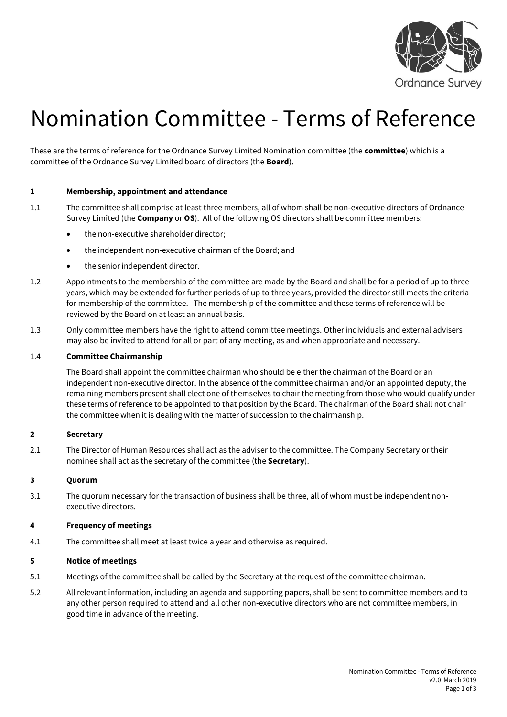

# Nomination Committee - Terms of Reference

These are the terms of reference for the Ordnance Survey Limited Nomination committee (the **committee**) which is a committee of the Ordnance Survey Limited board of directors (the **Board**).

## **1 Membership, appointment and attendance**

- 1.1 The committee shall comprise at least three members, all of whom shall be non-executive directors of Ordnance Survey Limited (the **Company** or **OS**). All of the following OS directors shall be committee members:
	- the non-executive shareholder director;
	- the independent non-executive chairman of the Board; and
	- the senior independent director.
- 1.2 Appointments to the membership of the committee are made by the Board and shall be for a period of up to three years, which may be extended for further periods of up to three years, provided the director still meets the criteria for membership of the committee. The membership of the committee and these terms of reference will be reviewed by the Board on at least an annual basis.
- 1.3 Only committee members have the right to attend committee meetings. Other individuals and external advisers may also be invited to attend for all or part of any meeting, as and when appropriate and necessary.

## 1.4 **Committee Chairmanship**

The Board shall appoint the committee chairman who should be either the chairman of the Board or an independent non-executive director. In the absence of the committee chairman and/or an appointed deputy, the remaining members present shall elect one of themselves to chair the meeting from those who would qualify under these terms of reference to be appointed to that position by the Board. The chairman of the Board shall not chair the committee when it is dealing with the matter of succession to the chairmanship.

## **2 Secretary**

2.1 The Director of Human Resources shall act as the adviser to the committee. The Company Secretary or their nominee shall act as the secretary of the committee (the **Secretary**).

## **3 Quorum**

3.1 The quorum necessary for the transaction of business shall be three, all of whom must be independent nonexecutive directors.

# **4 Frequency of meetings**

4.1 The committee shall meet at least twice a year and otherwise as required.

## **5 Notice of meetings**

- 5.1 Meetings of the committee shall be called by the Secretary at the request of the committee chairman.
- 5.2 All relevant information, including an agenda and supporting papers, shall be sent to committee members and to any other person required to attend and all other non-executive directors who are not committee members, in good time in advance of the meeting.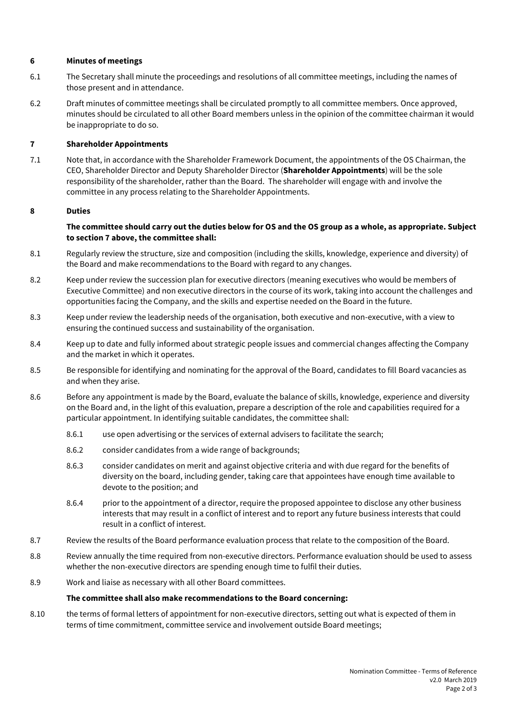# **6 Minutes of meetings**

- 6.1 The Secretary shall minute the proceedings and resolutions of all committee meetings, including the names of those present and in attendance.
- 6.2 Draft minutes of committee meetings shall be circulated promptly to all committee members. Once approved, minutes should be circulated to all other Board members unless in the opinion of the committee chairman it would be inappropriate to do so.

## **7 Shareholder Appointments**

7.1 Note that, in accordance with the Shareholder Framework Document, the appointments of the OS Chairman, the CEO, Shareholder Director and Deputy Shareholder Director (**Shareholder Appointments**) will be the sole responsibility of the shareholder, rather than the Board. The shareholder will engage with and involve the committee in any process relating to the Shareholder Appointments.

## **8 Duties**

## **The committee should carry out the duties below for OS and the OS group as a whole, as appropriate. Subject to section 7 above, the committee shall:**

- 8.1 Regularly review the structure, size and composition (including the skills, knowledge, experience and diversity) of the Board and make recommendations to the Board with regard to any changes.
- 8.2 Keep under review the succession plan for executive directors (meaning executives who would be members of Executive Committee) and non executive directors in the course of its work, taking into account the challenges and opportunities facing the Company, and the skills and expertise needed on the Board in the future.
- 8.3 Keep under review the leadership needs of the organisation, both executive and non-executive, with a view to ensuring the continued success and sustainability of the organisation.
- 8.4 Keep up to date and fully informed about strategic people issues and commercial changes affecting the Company and the market in which it operates.
- 8.5 Be responsible for identifying and nominating for the approval of the Board, candidates to fill Board vacancies as and when they arise.
- 8.6 Before any appointment is made by the Board, evaluate the balance of skills, knowledge, experience and diversity on the Board and, in the light of this evaluation, prepare a description of the role and capabilities required for a particular appointment. In identifying suitable candidates, the committee shall:
	- 8.6.1 use open advertising or the services of external advisers to facilitate the search;
	- 8.6.2 consider candidates from a wide range of backgrounds;
	- 8.6.3 consider candidates on merit and against objective criteria and with due regard for the benefits of diversity on the board, including gender, taking care that appointees have enough time available to devote to the position; and
	- 8.6.4 prior to the appointment of a director, require the proposed appointee to disclose any other business interests that may result in a conflict of interest and to report any future business interests that could result in a conflict of interest.
- 8.7 Review the results of the Board performance evaluation process that relate to the composition of the Board.
- 8.8 Review annually the time required from non-executive directors. Performance evaluation should be used to assess whether the non-executive directors are spending enough time to fulfil their duties.
- 8.9 Work and liaise as necessary with all other Board committees.

## **The committee shall also make recommendations to the Board concerning:**

8.10 the terms of formal letters of appointment for non-executive directors, setting out what is expected of them in terms of time commitment, committee service and involvement outside Board meetings;